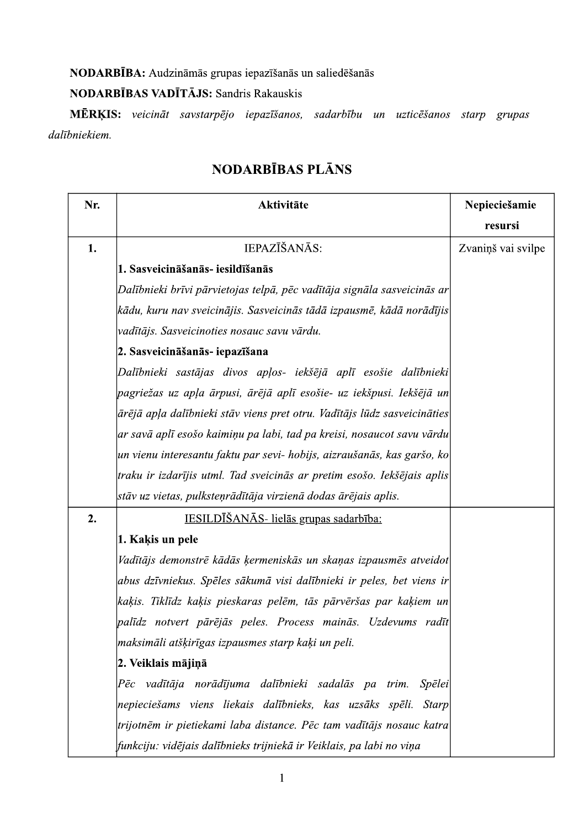NODARBĪBA: Audzināmās grupas iepazīšanās un saliedēšanās

# NODARBĪBAS VADĪTĀJS: Sandris Rakauskis

MĒRĶIS: veicināt savstarpējo iepazīšanos, sadarbību un uzticēšanos starp grupas dalībniekiem.

| Nr. | Aktivitāte                                                               | Nepieciešamie      |
|-----|--------------------------------------------------------------------------|--------------------|
|     |                                                                          | resursi            |
| 1.  | IEPAZĪŠANĀS:                                                             | Zvaniņš vai svilpe |
|     | 1. Sasveicināšanās- iesildīšanās                                         |                    |
|     | Dalībnieki brīvi pārvietojas telpā, pēc vadītāja signāla sasveicinās ar  |                    |
|     | ķādu, kuru nav sveicinājis. Sasveicinās tādā izpausmē, kādā norādījis    |                    |
|     | vadītājs. Sasveicinoties nosauc savu vārdu.                              |                    |
|     | 2. Sasveicināšanās- iepazīšana                                           |                    |
|     | Dalībnieki sastājas divos apļos- iekšējā aplī esošie dalībnieki          |                    |
|     | pagriežas uz apļa ārpusi, ārējā aplī esošie- uz iekšpusi. Iekšējā un     |                    |
|     | ārējā apļa dalībnieki stāv viens pret otru. Vadītājs lūdz sasveicināties |                    |
|     | ar savā aplī esošo kaimiņu pa labi, tad pa kreisi, nosaucot savu vārdu   |                    |
|     | un vienu interesantu faktu par sevi- hobijs, aizraušanās, kas garšo, ko  |                    |
|     | traku ir izdarījis utml. Tad sveicinās ar pretim esošo. Iekšējais aplis  |                    |
|     | stāv uz vietas, pulksteņrādītāja virzienā dodas ārējais aplis.           |                    |
| 2.  | IESILDĪŠANĀS- lielās grupas sadarbība:                                   |                    |
|     | 1. Kaķis un pele                                                         |                    |
|     | Vadītājs demonstrē kādās ķermeniskās un skaņas izpausmēs atveidot        |                    |
|     | abus dzīvniekus. Spēles sākumā visi dalībnieki ir peles, bet viens ir    |                    |
|     | kaķis. Tiklīdz kaķis pieskaras pelēm, tās pārvēršas par kaķiem un        |                    |
|     | palīdz notvert pārējās peles. Process mainās. Uzdevums radīt             |                    |
|     | maksimāli atšķirīgas izpausmes starp kaķi un peli.                       |                    |
|     | 2. Veiklais mājiņā                                                       |                    |
|     | vadītāja norādījuma dalībnieki sadalās pa trim. Spēlei<br>Pēc            |                    |
|     | nepieciešams viens liekais dalībnieks, kas uzsāks spēli. Starp           |                    |
|     | trijotnēm ir pietiekami laba distance. Pēc tam vadītājs nosauc katra     |                    |
|     | funkciju: vidējais dalībnieks trijniekā ir Veiklais, pa labi no viņa     |                    |

# NODARBĪBAS PLĀNS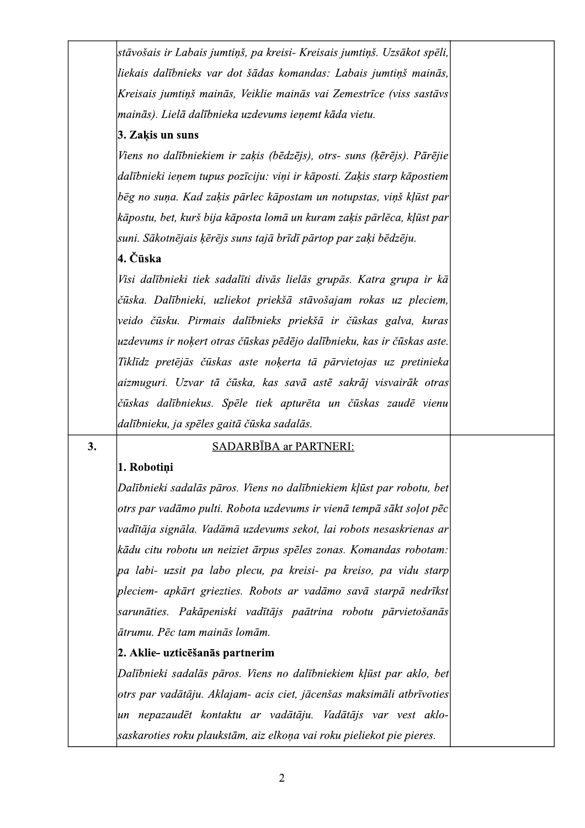stāvošais ir Labais jumtiņš, pa kreisi- Kreisais jumtiņš. Uzsākot spēli, liekais dalībnieks var dot šādas komandas: Labais jumtiņš mainās, Kreisais jumtiņš mainās, Veiklie mainās vai Zemestrīce (viss sastāvs mainās). Lielā dalībnieka uzdevums ienemt kāda vietu.

# 3. Zakis un suns

Viens no dalībniekiem ir zaķis (bēdzējs), otrs- suns (ķērējs). Pārējie dalībnieki ieņem tupus pozīciju: viņi ir kāposti. Zaķis starp kāpostiem bēg no suņa. Kad zaķis pārlec kāpostam un notupstas, viņš kļūst par kāpostu, bet, kurš bija kāposta lomā un kuram zaķis pārlēca, kļūst par suni. Sākotnējais ķērējs suns tajā brīdī pārtop par zaķi bēdzēju.

# 4. Čūska

Visi dalībnieki tiek sadalīti divās lielās grupās. Katra grupa ir kā čūska. Dalībnieki, uzliekot priekšā stāvošajam rokas uz pleciem, veido čūsku. Pirmais dalībnieks priekšā ir čūskas galva, kuras uzdevums ir nokert otras čūskas pēdējo dalībnieku, kas ir čūskas aste. Tiklīdz pretējās čūskas aste nokerta tā pārvietojas uz pretinieka aizmuguri. Uzvar tā čūska, kas savā astē sakrāj visvairāk otras čūskas dalībniekus. Spēle tiek apturēta un čūskas zaudē vienu dalībnieku, ja spēles gaitā čūska sadalās.

### 3.

# SADARBĪBA ar PARTNERI:

# 1. Robotiņi

Dalībnieki sadalās pāros. Viens no dalībniekiem kļūst par robotu, bet otrs par vadāmo pulti. Robota uzdevums ir vienā tempā sākt soļot pēc vadītāja signāla. Vadāmā uzdevums sekot, lai robots nesaskrienas ar kādu citu robotu un neiziet ārpus spēles zonas. Komandas robotam:  $|pa|$  labi- uzsit pa labo plecu, pa kreisi- pa kreiso, pa vidu starp $|$ pleciem- apkārt griezties. Robots ar vadāmo savā starpā nedrīkst sarunāties. Pakāpeniski vadītājs paātrina robotu pārvietošanās lātrumu. Pēc tam mainās lomām.

# 2. Aklie- uzticēšanās partnerim

Dalībnieki sadalās pāros. Viens no dalībniekiem klūst par aklo, bet otrs par vadātāju. Aklajam- acis ciet, jācenšas maksimāli atbrīvoties un nepazaudēt kontaktu ar vadātāju. Vadātājs var vest aklosaskaroties roku plaukstām, aiz elkoņa vai roku pieliekot pie pieres.